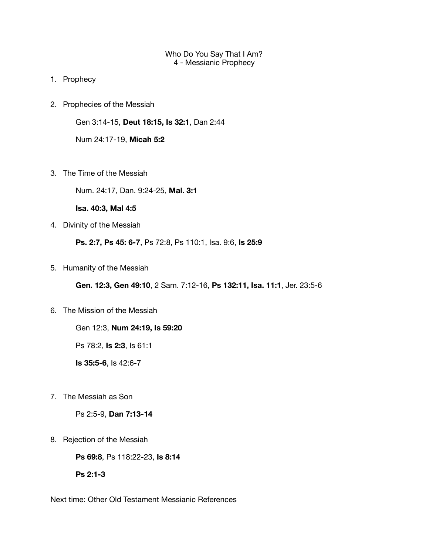## Who Do You Say That I Am? 4 - Messianic Prophecy

- 1. Prophecy
- 2. Prophecies of the Messiah

Gen 3:14-15, **Deut 18:15, Is 32:1**, Dan 2:44

Num 24:17-19, **Micah 5:2**

3. The Time of the Messiah

Num. 24:17, Dan. 9:24-25, **Mal. 3:1**

**Isa. 40:3, Mal 4:5** 

4. Divinity of the Messiah

**Ps. 2:7, Ps 45: 6-7**, Ps 72:8, Ps 110:1, Isa. 9:6, **Is 25:9**

5. Humanity of the Messiah

**Gen. 12:3, Gen 49:10**, 2 Sam. 7:12-16, **Ps 132:11, Isa. 11:1**, Jer. 23:5-6

6. The Mission of the Messiah

Gen 12:3, **Num 24:19, Is 59:20**

Ps 78:2, **Is 2:3**, Is 61:1

**Is 35:5-6**, Is 42:6-7

7. The Messiah as Son

Ps 2:5-9, **Dan 7:13-14**

8. Rejection of the Messiah

**Ps 69:8**, Ps 118:22-23, **Is 8:14**

**Ps 2:1-3** 

Next time: Other Old Testament Messianic References